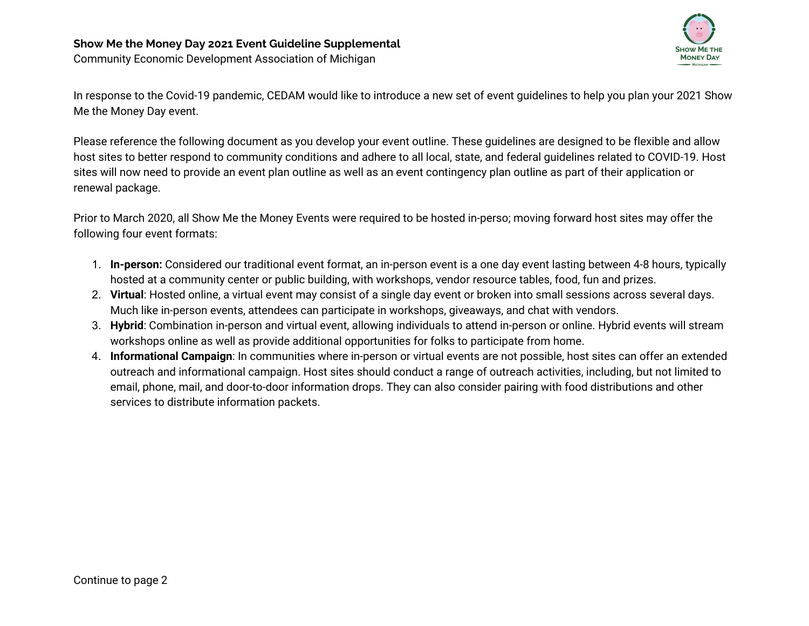## **Show Me the Money Day 2021 Event Guideline Supplemental**

Community Economic Development Association of Michigan



In response to the Covid-19 pandemic, CEDAM would like to introduce a new set of event guidelines to help you plan your 2021 Show Me the Money Day event.

Please reference the following document as you develop your event outline. These guidelines are designed to be flexible and allow host sites to better respond to community conditions and adhere to all local, state, and federal guidelines related to COVID-19. Host sites will now need to provide an event plan outline as well as an event contingency plan outline as part of their application or renewal package.

Prior to March 2020, all Show Me the Money Events were required to be hosted in-perso; moving forward host sites may offer the following four event formats:

- 1. **In-person:** Considered our traditional event format, an in-person event is a one day event lasting between 4-8 hours, typically hosted at a community center or public building, with workshops, vendor resource tables, food, fun and prizes.
- 2. **Virtual**: Hosted online, a virtual event may consist of a single day event or broken into small sessions across several days. Much like in-person events, attendees can participate in workshops, giveaways, and chat with vendors.
- 3. **Hybrid**: Combination in-person and virtual event, allowing individuals to attend in-person or online. Hybrid events will stream workshops online as well as provide additional opportunities for folks to participate from home.
- 4. **Informational Campaign**: In communities where in-person or virtual events are not possible, host sites can offer an extended outreach and informational campaign. Host sites should conduct a range of outreach activities, including, but not limited to email, phone, mail, and door-to-door information drops. They can also consider pairing with food distributions and other services to distribute information packets.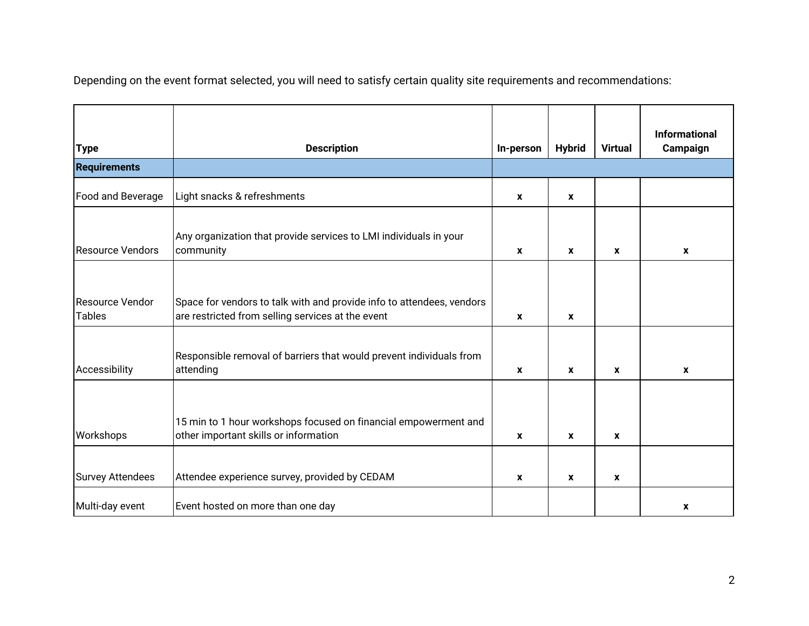Depending on the event format selected, you will need to satisfy certain quality site requirements and recommendations:

|                                  |                                                                                                                            |                  |                           |                | <b>Informational</b> |
|----------------------------------|----------------------------------------------------------------------------------------------------------------------------|------------------|---------------------------|----------------|----------------------|
| <b>Type</b>                      | <b>Description</b>                                                                                                         | In-person        | <b>Hybrid</b>             | <b>Virtual</b> | Campaign             |
| <b>Requirements</b>              |                                                                                                                            |                  |                           |                |                      |
| Food and Beverage                | Light snacks & refreshments                                                                                                | $\mathbf{x}$     | $\boldsymbol{x}$          |                |                      |
| Resource Vendors                 | Any organization that provide services to LMI individuals in your<br>community                                             | $\boldsymbol{x}$ | $\boldsymbol{x}$          | X              | $\boldsymbol{x}$     |
| Resource Vendor<br><b>Tables</b> | Space for vendors to talk with and provide info to attendees, vendors<br>are restricted from selling services at the event | $\mathbf{x}$     | X                         |                |                      |
| Accessibility                    | Responsible removal of barriers that would prevent individuals from<br>attending                                           | $\mathbf{x}$     | $\boldsymbol{\mathsf{x}}$ | $\mathbf{x}$   | $\boldsymbol{x}$     |
| Workshops                        | 15 min to 1 hour workshops focused on financial empowerment and<br>other important skills or information                   | $\mathbf{x}$     | $\boldsymbol{x}$          | $\mathbf x$    |                      |
| Survey Attendees                 | Attendee experience survey, provided by CEDAM                                                                              | $\mathbf{x}$     | $\boldsymbol{\mathsf{x}}$ | X              |                      |
| Multi-day event                  | Event hosted on more than one day                                                                                          |                  |                           |                | $\boldsymbol{x}$     |